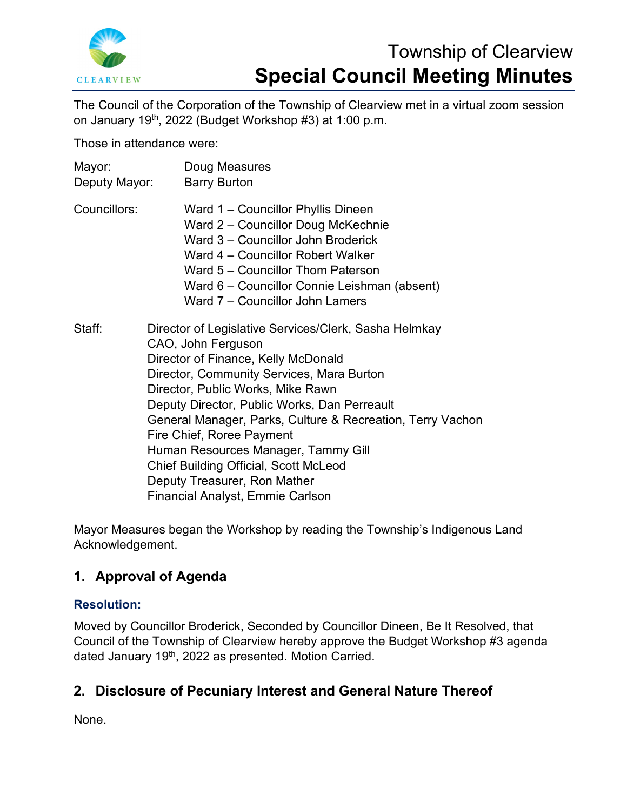

# Township of Clearview **Special Council Meeting Minutes**

The Council of the Corporation of the Township of Clearview met in a virtual zoom session on January 19th, 2022 (Budget Workshop #3) at 1:00 p.m.

Those in attendance were:

| Mayor:<br>Deputy Mayor: | Doug Measures<br><b>Barry Burton</b>                                                                                                                                                                                                                                                                                                                                                                                                                                                                              |
|-------------------------|-------------------------------------------------------------------------------------------------------------------------------------------------------------------------------------------------------------------------------------------------------------------------------------------------------------------------------------------------------------------------------------------------------------------------------------------------------------------------------------------------------------------|
| Councillors:            | Ward 1 – Councillor Phyllis Dineen<br>Ward 2 - Councillor Doug McKechnie<br>Ward 3 - Councillor John Broderick<br>Ward 4 – Councillor Robert Walker<br>Ward 5 – Councillor Thom Paterson<br>Ward 6 – Councillor Connie Leishman (absent)<br>Ward 7 - Councillor John Lamers                                                                                                                                                                                                                                       |
| Staff:                  | Director of Legislative Services/Clerk, Sasha Helmkay<br>CAO, John Ferguson<br>Director of Finance, Kelly McDonald<br>Director, Community Services, Mara Burton<br>Director, Public Works, Mike Rawn<br>Deputy Director, Public Works, Dan Perreault<br>General Manager, Parks, Culture & Recreation, Terry Vachon<br>Fire Chief, Roree Payment<br>Human Resources Manager, Tammy Gill<br><b>Chief Building Official, Scott McLeod</b><br>Deputy Treasurer, Ron Mather<br><b>Financial Analyst, Emmie Carlson</b> |

Mayor Measures began the Workshop by reading the Township's Indigenous Land Acknowledgement.

# **1. Approval of Agenda**

## **Resolution:**

Moved by Councillor Broderick, Seconded by Councillor Dineen, Be It Resolved, that Council of the Township of Clearview hereby approve the Budget Workshop #3 agenda dated January 19<sup>th</sup>, 2022 as presented. Motion Carried.

# **2. Disclosure of Pecuniary Interest and General Nature Thereof**

None.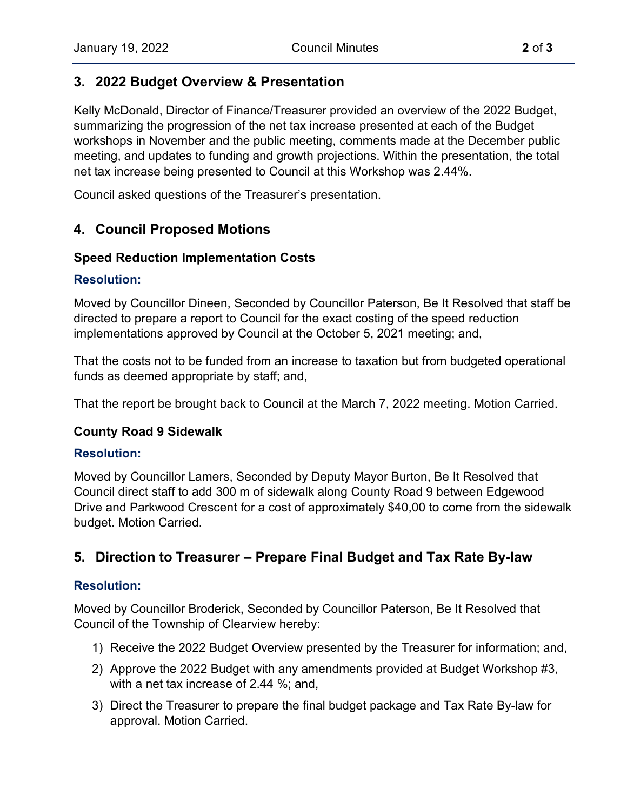# **3. 2022 Budget Overview & Presentation**

Kelly McDonald, Director of Finance/Treasurer provided an overview of the 2022 Budget, summarizing the progression of the net tax increase presented at each of the Budget workshops in November and the public meeting, comments made at the December public meeting, and updates to funding and growth projections. Within the presentation, the total net tax increase being presented to Council at this Workshop was 2.44%.

Council asked questions of the Treasurer's presentation.

# **4. Council Proposed Motions**

## **Speed Reduction Implementation Costs**

#### **Resolution:**

Moved by Councillor Dineen, Seconded by Councillor Paterson, Be It Resolved that staff be directed to prepare a report to Council for the exact costing of the speed reduction implementations approved by Council at the October 5, 2021 meeting; and,

That the costs not to be funded from an increase to taxation but from budgeted operational funds as deemed appropriate by staff; and,

That the report be brought back to Council at the March 7, 2022 meeting. Motion Carried.

## **County Road 9 Sidewalk**

#### **Resolution:**

Moved by Councillor Lamers, Seconded by Deputy Mayor Burton, Be It Resolved that Council direct staff to add 300 m of sidewalk along County Road 9 between Edgewood Drive and Parkwood Crescent for a cost of approximately \$40,00 to come from the sidewalk budget. Motion Carried.

## **5. Direction to Treasurer – Prepare Final Budget and Tax Rate By-law**

#### **Resolution:**

Moved by Councillor Broderick, Seconded by Councillor Paterson, Be It Resolved that Council of the Township of Clearview hereby:

- 1) Receive the 2022 Budget Overview presented by the Treasurer for information; and,
- 2) Approve the 2022 Budget with any amendments provided at Budget Workshop #3, with a net tax increase of 2.44 %; and,
- 3) Direct the Treasurer to prepare the final budget package and Tax Rate By-law for approval. Motion Carried.